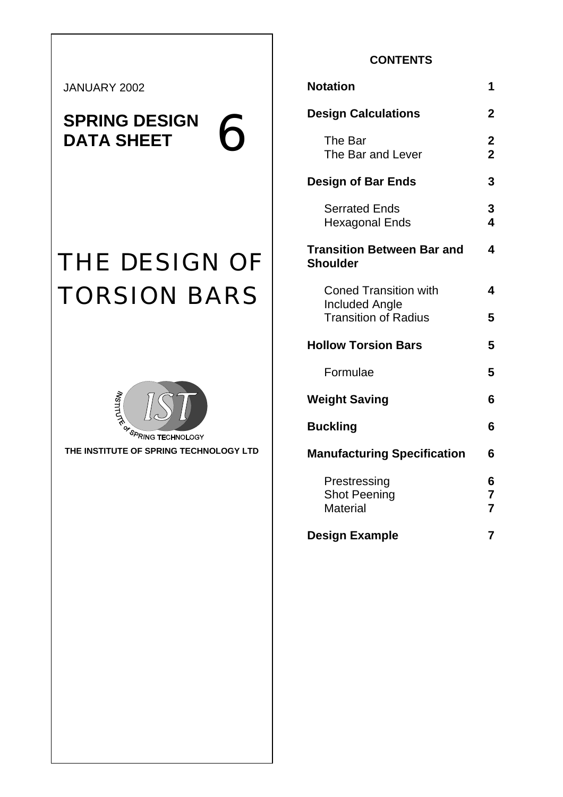JANUARY 2002

**SPRING DESIGN 6** 

# THE DESIGN OF TORSION BARS



**THE INSTITUTE OF SPRING TECHNOLOGY LTD** 

# **CONTENTS**

| <b>Notation</b>                                        | 1                             |
|--------------------------------------------------------|-------------------------------|
| <b>Design Calculations</b>                             | $\mathbf 2$                   |
| The Bar<br>The Bar and Lever                           | $\mathbf 2$<br>$\overline{2}$ |
| <b>Design of Bar Ends</b>                              | 3                             |
| <b>Serrated Ends</b><br><b>Hexagonal Ends</b>          | 3<br>4                        |
| <b>Transition Between Bar and</b><br><b>Shoulder</b>   | 4                             |
| <b>Coned Transition with</b>                           | 4                             |
| <b>Included Angle</b><br><b>Transition of Radius</b>   | 5                             |
| <b>Hollow Torsion Bars</b>                             | 5                             |
| Formulae                                               | 5                             |
| <b>Weight Saving</b>                                   | 6                             |
| <b>Buckling</b>                                        | 6                             |
| <b>Manufacturing Specification</b>                     | 6                             |
| Prestressing<br><b>Shot Peening</b><br><b>Material</b> | 6<br>7<br>$\overline{7}$      |
| <b>Design Example</b>                                  | $\overline{7}$                |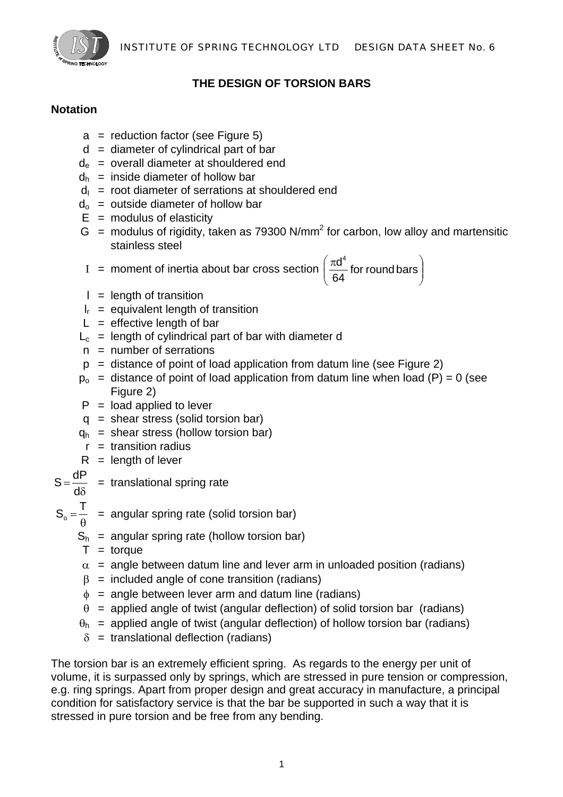

# **THE DESIGN OF TORSION BARS**

# **Notation**

- $a =$  reduction factor (see Figure 5)
- $d =$  diameter of cylindrical part of bar
- $d_e$  = overall diameter at shouldered end
- $d_h$  = inside diameter of hollow bar
- $d<sub>l</sub>$  = root diameter of serrations at shouldered end
- $d_0$  = outside diameter of hollow bar
- $E =$  modulus of elasticity
- $G =$  modulus of rigidity, taken as 79300 N/mm<sup>2</sup> for carbon, low alloy and martensitic stainless steel

I = moment of inertia about bar cross section 
$$
\left(\frac{\pi d^4}{64}
$$
 for round bars\right)

- $l =$  length of transition
- $I_r$  = equivalent length of transition
- $L =$  effective length of bar
- $L_c$  = length of cylindrical part of bar with diameter d
- $n =$  number of serrations
- $p =$  distance of point of load application from datum line (see Figure 2)
- $p_0$  = distance of point of load application from datum line when load (P) = 0 (see Figure 2)
- $P =$  load applied to lever
- $q =$  shear stress (solid torsion bar)
- $q_h$  = shear stress (hollow torsion bar)
	- $r =$  transition radius
- $R =$  length of lever
- $S = \frac{dP}{d\delta}$  = translational spring rate
- 
- $S_{\rm o} = \frac{T}{\rm A}$  = angular spring rate (solid torsion bar)
	- $S_h$  = angular spring rate (hollow torsion bar)
	- $T =$  torque
	- $\alpha$  = angle between datum line and lever arm in unloaded position (radians)
	- $β =$  included angle of cone transition (radians)
	- $\phi$  = angle between lever arm and datum line (radians)
	- $\theta$  = applied angle of twist (angular deflection) of solid torsion bar (radians)
	- $\theta_h$  = applied angle of twist (angular deflection) of hollow torsion bar (radians)
	- $\delta$  = translational deflection (radians)

The torsion bar is an extremely efficient spring. As regards to the energy per unit of volume, it is surpassed only by springs, which are stressed in pure tension or compression, e.g. ring springs. Apart from proper design and great accuracy in manufacture, a principal condition for satisfactory service is that the bar be supported in such a way that it is stressed in pure torsion and be free from any bending.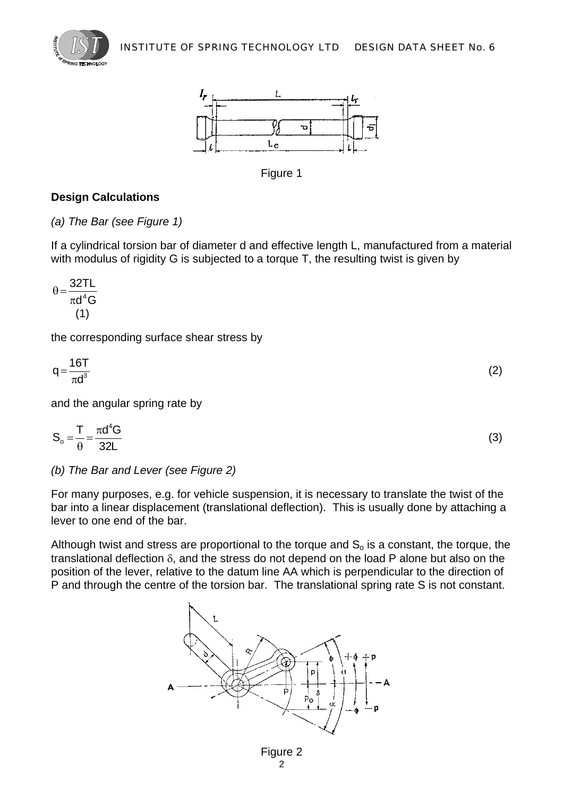



Figure 1

# **Design Calculations**

*(a) The Bar (see Figure 1)* 

If a cylindrical torsion bar of diameter d and effective length L, manufactured from a material with modulus of rigidity G is subjected to a torque T, the resulting twist is given by

$$
\theta = \frac{32TL}{\pi d^4 G}
$$
\n(1)

the corresponding surface shear stress by

$$
q = \frac{16T}{\pi d^3} \tag{2}
$$

and the angular spring rate by

$$
S_o = \frac{T}{\theta} = \frac{\pi d^4 G}{32L}
$$
 (3)

*(b) The Bar and Lever (see Figure 2)* 

For many purposes, e.g. for vehicle suspension, it is necessary to translate the twist of the bar into a linear displacement (translational deflection). This is usually done by attaching a lever to one end of the bar.

Although twist and stress are proportional to the torque and  $S<sub>o</sub>$  is a constant, the torque, the translational deflection  $\delta$ , and the stress do not depend on the load P alone but also on the position of the lever, relative to the datum line AA which is perpendicular to the direction of P and through the centre of the torsion bar. The translational spring rate S is not constant.

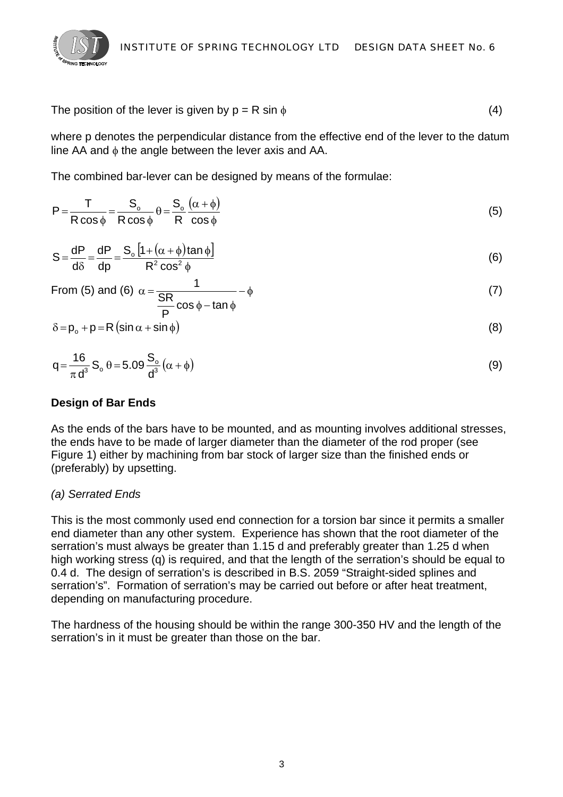

The position of the lever is given by  $p = R \sin \phi$  (4)

where p denotes the perpendicular distance from the effective end of the lever to the datum line AA and φ the angle between the lever axis and AA.

The combined bar-lever can be designed by means of the formulae:

$$
P = \frac{T}{R \cos \phi} = \frac{S_o}{R \cos \phi} \theta = \frac{S_o}{R} \frac{(\alpha + \phi)}{\cos \phi}
$$
(5)

$$
S = \frac{dP}{d\delta} = \frac{dP}{dp} = \frac{S_o \left[ 1 + (\alpha + \phi) \tan \phi \right]}{R^2 \cos^2 \phi}
$$
(6)

From (5) and (6) 
$$
\alpha = \frac{1}{\frac{\text{SR}}{\text{P}}\cos\phi - \tan\phi} - \phi
$$
 (7)

$$
\delta = p_o + p = R \left( \sin \alpha + \sin \phi \right) \tag{8}
$$

$$
q = \frac{16}{\pi d^3} S_o \theta = 5.09 \frac{S_o}{d^3} (\alpha + \phi)
$$
\n(9)

# **Design of Bar Ends**

As the ends of the bars have to be mounted, and as mounting involves additional stresses, the ends have to be made of larger diameter than the diameter of the rod proper (see Figure 1) either by machining from bar stock of larger size than the finished ends or (preferably) by upsetting.

# *(a) Serrated Ends*

This is the most commonly used end connection for a torsion bar since it permits a smaller end diameter than any other system. Experience has shown that the root diameter of the serration's must always be greater than 1.15 d and preferably greater than 1.25 d when high working stress (q) is required, and that the length of the serration's should be equal to 0.4 d. The design of serration's is described in B.S. 2059 "Straight-sided splines and serration's". Formation of serration's may be carried out before or after heat treatment, depending on manufacturing procedure.

The hardness of the housing should be within the range 300-350 HV and the length of the serration's in it must be greater than those on the bar.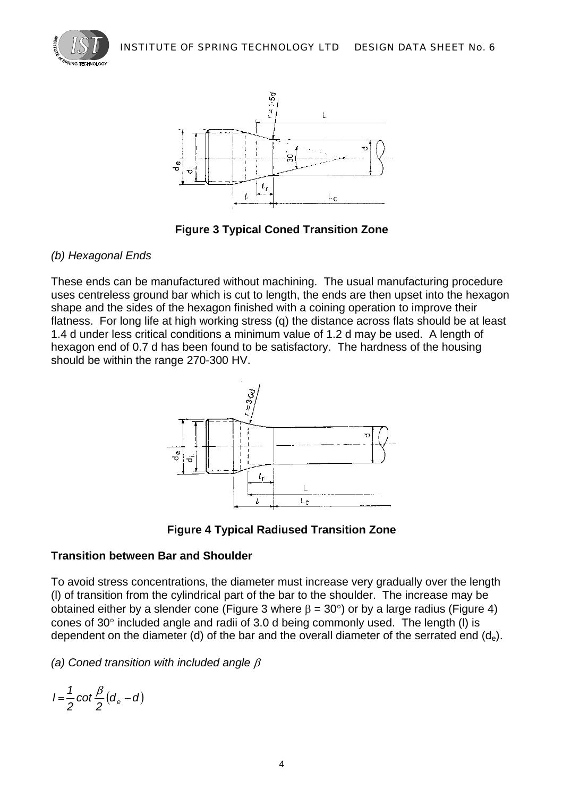



**Figure 3 Typical Coned Transition Zone** 

# *(b) Hexagonal Ends*

These ends can be manufactured without machining. The usual manufacturing procedure uses centreless ground bar which is cut to length, the ends are then upset into the hexagon shape and the sides of the hexagon finished with a coining operation to improve their flatness. For long life at high working stress (q) the distance across flats should be at least 1.4 d under less critical conditions a minimum value of 1.2 d may be used. A length of hexagon end of 0.7 d has been found to be satisfactory. The hardness of the housing should be within the range 270-300 HV.



**Figure 4 Typical Radiused Transition Zone** 

# **Transition between Bar and Shoulder**

To avoid stress concentrations, the diameter must increase very gradually over the length (l) of transition from the cylindrical part of the bar to the shoulder. The increase may be obtained either by a slender cone (Figure 3 where  $\beta = 30^{\circ}$ ) or by a large radius (Figure 4) cones of 30° included angle and radii of 3.0 d being commonly used. The length (l) is dependent on the diameter (d) of the bar and the overall diameter of the serrated end  $(d_e)$ .

*(a) Coned transition with included angle* β

$$
I=\frac{1}{2}\cot\frac{\beta}{2}(d_e-d)
$$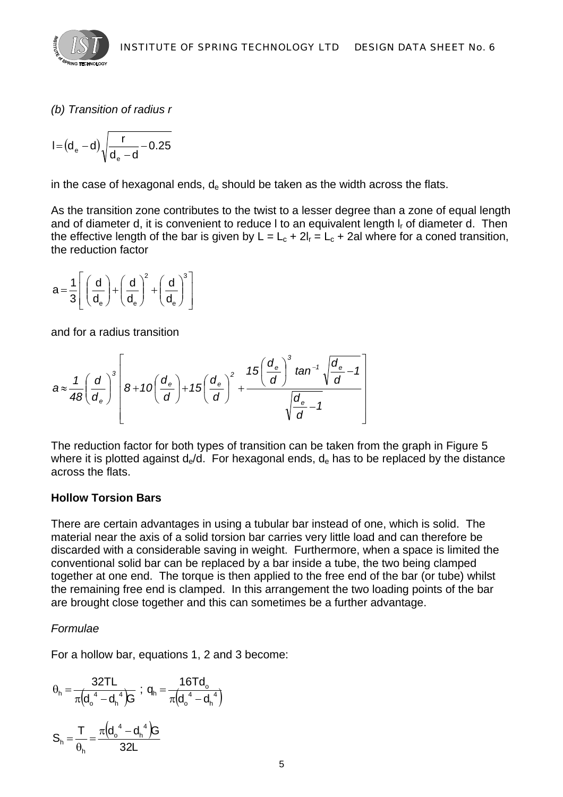

*(b) Transition of radius r* 

$$
I\!=\!\left(d_{\text{e}}-d\right)\!\sqrt{\frac{r}{d_{\text{e}}-d}\!-\!0.25}
$$

in the case of hexagonal ends,  $d_e$  should be taken as the width across the flats.

As the transition zone contributes to the twist to a lesser degree than a zone of equal length and of diameter d, it is convenient to reduce I to an equivalent length  $I_r$  of diameter d. Then the effective length of the bar is given by  $L = L_c + 2l_r = L_c + 2al$  where for a coned transition, the reduction factor

$$
a\!=\!\frac{1}{3}\!\!\left[\left(\frac{d}{d_{\text{e}}}\right)\!+\!\left(\frac{d}{d_{\text{e}}}\right)^{\!2}\!+\!\left(\frac{d}{d_{\text{e}}}\right)^{\!3}\right]
$$

and for a radius transition

$$
a \approx \frac{1}{48} \left(\frac{d}{d_e}\right)^3 \left[8 + 10\left(\frac{d_e}{d}\right) + 15\left(\frac{d_e}{d}\right)^2 + \frac{15\left(\frac{d_e}{d}\right)^3 \tan^{-1} \sqrt{\frac{d_e}{d} - 1}}{\sqrt{\frac{d_e}{d} - 1}}\right]
$$

The reduction factor for both types of transition can be taken from the graph in Figure 5 where it is plotted against  $d_e/d$ . For hexagonal ends,  $d_e$  has to be replaced by the distance across the flats.

#### **Hollow Torsion Bars**

There are certain advantages in using a tubular bar instead of one, which is solid. The material near the axis of a solid torsion bar carries very little load and can therefore be discarded with a considerable saving in weight. Furthermore, when a space is limited the conventional solid bar can be replaced by a bar inside a tube, the two being clamped together at one end. The torque is then applied to the free end of the bar (or tube) whilst the remaining free end is clamped. In this arrangement the two loading points of the bar are brought close together and this can sometimes be a further advantage.

# *Formulae*

For a hollow bar, equations 1, 2 and 3 become:

$$
\theta_{h} = \frac{32TL}{\pi (d_{o}^{4} - d_{h}^{4})G} \; ; \; q_{h} = \frac{16Td_{o}}{\pi (d_{o}^{4} - d_{h}^{4})}
$$

$$
S_{h} = \frac{T}{\theta_{h}} = \frac{\pi (d_{o}^{4} - d_{h}^{4})G}{32L}
$$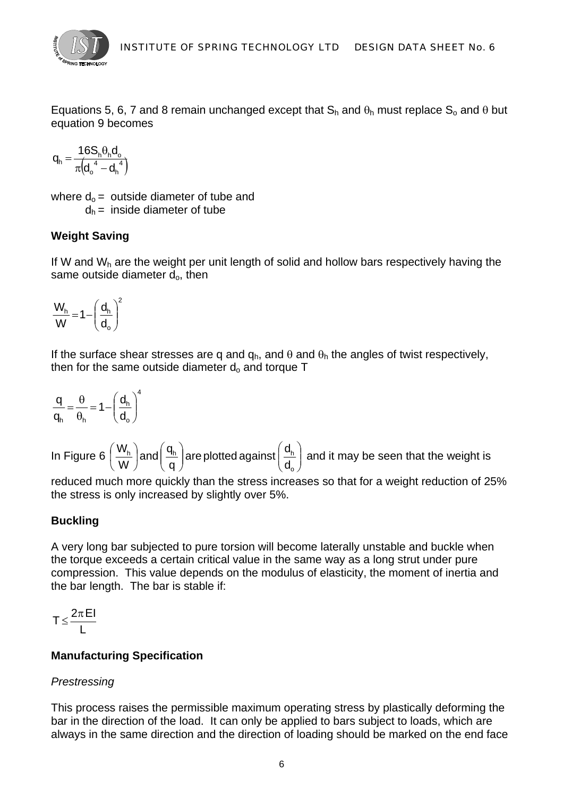

Equations 5, 6, 7 and 8 remain unchanged except that  $S_h$  and  $\theta_h$  must replace  $S_o$  and  $\theta$  but equation 9 becomes

$$
\boldsymbol{q}_h = \frac{16 \boldsymbol{S}_h \boldsymbol{\theta}_h \boldsymbol{d}_o}{\pi \Big(\boldsymbol{d}_o^{-4} - \boldsymbol{d}_h^{-4}\Big)}
$$

where  $d_0$  = outside diameter of tube and  $d_h$  = inside diameter of tube

# **Weight Saving**

If W and  $W_h$  are the weight per unit length of solid and hollow bars respectively having the same outside diameter  $d_0$ , then

$$
\frac{W_h}{W}\!=\!1\!-\!\left(\frac{d_h}{d_o}\right)^{\!2}
$$

If the surface shear stresses are q and  $q_h$ , and  $\theta$  and  $\theta_h$  the angles of twist respectively, then for the same outside diameter  $d_0$  and torque  $T$ 

$$
\frac{q}{q_h} = \frac{\theta}{\theta_h} = 1 - \left(\frac{d_h}{d_o}\right)^4
$$

In Figure 6  $\left(\frac{\mathbf{v_{h}}}{\mathbf{w}}\right)$  and  $\left(\frac{\mathbf{u_{h}}}{\mathbf{a}}\right)$  are plotted against  $\left(\frac{\mathbf{u_{h}}}{\mathbf{d}}\right)$ ⎠ ⎞  $\parallel$ ⎝  $\big($  $\sqrt{ }$ ⎠ ⎞  $\overline{\phantom{a}}$ ⎝  $\vert$ and $\vert$ ⎠  $\left(\frac{W_h}{W}\right)$ ⎝  $\sqrt{2}$ o  $^{\text{h}}$  | and |  $^{\text{th}}$  | are plotted against |  $^{\text{th}}$ d are plotted against  $\left(\frac{d}{d}\right)$ q and $\left(\frac{\mathsf{q}}{}$ W  $\left(\frac{W_h}{W_h}\right)$ and $\left(\frac{q_h}{W}\right)$ are plotted against $\left(\frac{d_h}{W}\right)$  and it may be seen that the weight is

reduced much more quickly than the stress increases so that for a weight reduction of 25% the stress is only increased by slightly over 5%.

# **Buckling**

A very long bar subjected to pure torsion will become laterally unstable and buckle when the torque exceeds a certain critical value in the same way as a long strut under pure compression. This value depends on the modulus of elasticity, the moment of inertia and the bar length. The bar is stable if:

$$
T \leq \frac{2\pi\,EI}{L}
$$

# **Manufacturing Specification**

# *Prestressing*

This process raises the permissible maximum operating stress by plastically deforming the bar in the direction of the load. It can only be applied to bars subject to loads, which are always in the same direction and the direction of loading should be marked on the end face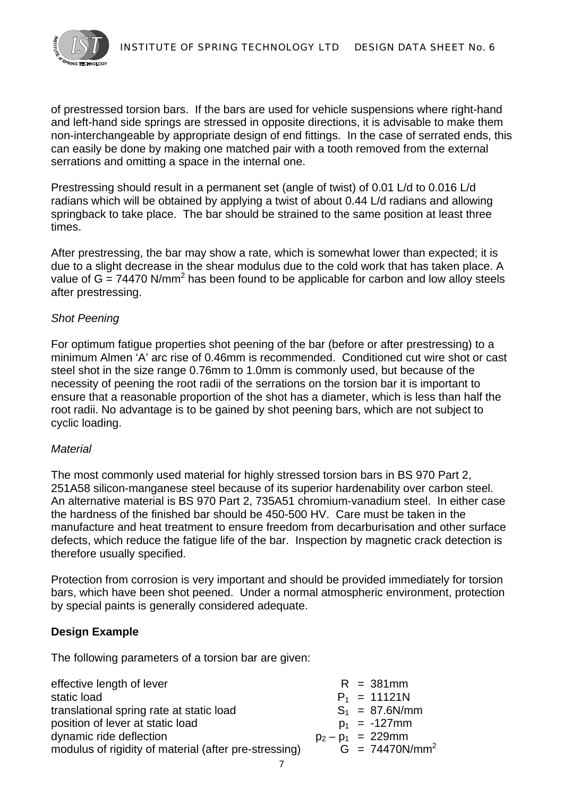of prestressed torsion bars. If the bars are used for vehicle suspensions where right-hand and left-hand side springs are stressed in opposite directions, it is advisable to make them non-interchangeable by appropriate design of end fittings. In the case of serrated ends, this can easily be done by making one matched pair with a tooth removed from the external serrations and omitting a space in the internal one.

Prestressing should result in a permanent set (angle of twist) of 0.01 L/d to 0.016 L/d radians which will be obtained by applying a twist of about 0.44 L/d radians and allowing springback to take place. The bar should be strained to the same position at least three times.

After prestressing, the bar may show a rate, which is somewhat lower than expected; it is due to a slight decrease in the shear modulus due to the cold work that has taken place. A value of  $G = 74470$  N/mm<sup>2</sup> has been found to be applicable for carbon and low alloy steels after prestressing.

#### *Shot Peening*

For optimum fatigue properties shot peening of the bar (before or after prestressing) to a minimum Almen 'A' arc rise of 0.46mm is recommended. Conditioned cut wire shot or cast steel shot in the size range 0.76mm to 1.0mm is commonly used, but because of the necessity of peening the root radii of the serrations on the torsion bar it is important to ensure that a reasonable proportion of the shot has a diameter, which is less than half the root radii. No advantage is to be gained by shot peening bars, which are not subject to cyclic loading.

#### *Material*

The most commonly used material for highly stressed torsion bars in BS 970 Part 2, 251A58 silicon-manganese steel because of its superior hardenability over carbon steel. An alternative material is BS 970 Part 2, 735A51 chromium-vanadium steel. In either case the hardness of the finished bar should be 450-500 HV. Care must be taken in the manufacture and heat treatment to ensure freedom from decarburisation and other surface defects, which reduce the fatigue life of the bar. Inspection by magnetic crack detection is therefore usually specified.

Protection from corrosion is very important and should be provided immediately for torsion bars, which have been shot peened. Under a normal atmospheric environment, protection by special paints is generally considered adequate.

#### **Design Example**

The following parameters of a torsion bar are given:

| effective length of lever                             | $R = 381$ mm         |
|-------------------------------------------------------|----------------------|
| static load                                           | $P_1 = 11121N$       |
| translational spring rate at static load              | $S_1 = 87.6$ N/mm    |
| position of lever at static load                      | $p_1 = -127$ mm      |
| dynamic ride deflection                               | $p_2 - p_1 = 229$ mm |
| modulus of rigidity of material (after pre-stressing) | $G = 74470N/mm^2$    |
|                                                       |                      |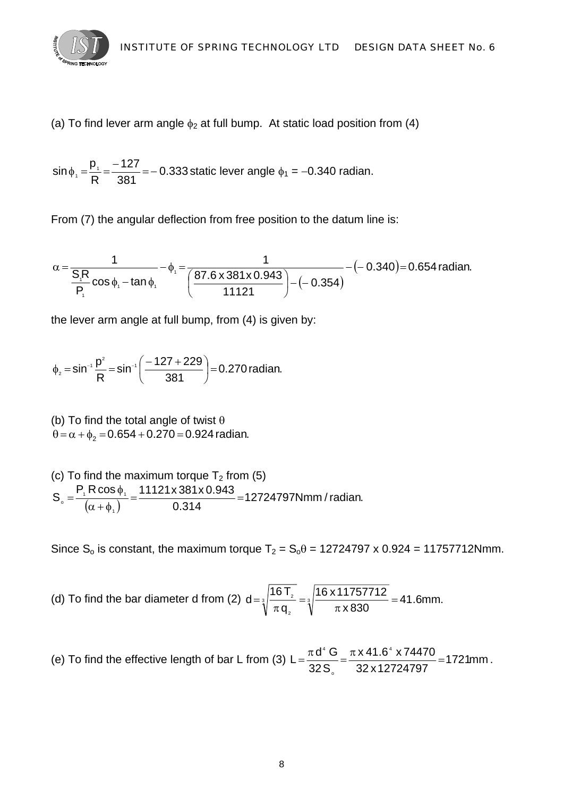

(a) To find lever arm angle  $\phi_2$  at full bump. At static load position from (4)

$$
\sin \phi_1 = \frac{p_1}{R} = \frac{-127}{381} = -0.333 \text{ static lever angle } \phi_1 = -0.340 \text{ radian.}
$$

From (7) the angular deflection from free position to the datum line is:

$$
\alpha = \frac{1}{\frac{S_{1}R}{P_{1}}\cos\phi_{1} - \tan\phi_{1}} - \phi_{1} = \frac{1}{\left(\frac{87.6 \times 381 \times 0.943}{11121}\right) - (-0.354)} - (-0.340) = 0.654 \text{ radian.}
$$

the lever arm angle at full bump, from (4) is given by:

$$
\phi_2 = \sin^{-1} \frac{p^2}{R} = \sin^{-1} \left( \frac{-127 + 229}{381} \right) = 0.270 \text{ radian.}
$$

(b) To find the total angle of twist  $\theta$  $\theta = \alpha + \phi_2 = 0.654 + 0.270 = 0.924$  radian.

(c) To find the maximum torque  $T_2$  from (5)  $\frac{1}{(\alpha + \phi_1)} = \frac{11121 \times 661 \times 6616}{0.314} = 12724797$  Nmm / radian.  $S_0 = \frac{P_1 R \cos \phi_1}{(1.1121 \times 381 \times 0.9431)}$ 1  $\frac{1}{\alpha}$  =  $\frac{1}{(\alpha + \phi_1)}$  =  $\frac{1121 \times 661 \times 661 \times 661}{0.314}$  =  $=\frac{P_1 \text{R} \cos \phi}{(1+\phi)^2}$ 

Since S<sub>o</sub> is constant, the maximum torque  $T_2 = S_0\theta = 12724797 \times 0.924 = 11757712Nmm$ .

(d) To find the bar diameter d from (2) 
$$
d = \sqrt[3]{\frac{16T_z}{\pi q_z}} = \sqrt[3]{\frac{16 \times 11757712}{\pi \times 830}} = 41.6
$$
mm.

(e) To find the effective length of bar L from (3) 
$$
L = \frac{\pi d^4 G}{32 S_o} = \frac{\pi \times 41.6^4 \times 74470}{32 \times 12724797} = 1721
$$
mm.